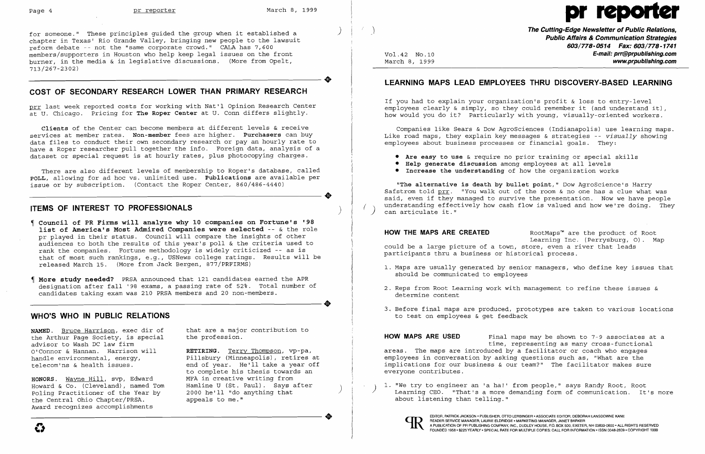) for someone." These principles guided the group when it established a chapter in Texas' Rio Grande Valley, bringing new people to the lawsuit reform debate -- not the "same corporate crowd." CALA has 7,600 members/supporters in Houston who help keep legal issues on the front burner, in the media & in legislative discussions. (More from Opelt, 713 /267-23 02)

•

# **COST OF SECONDARY RESEARCH LOWER THAN PRIMARY RESEARCH**

There are also different levels of membership to Roper's database, called **POLL,** allowing for ad hoc vs. unlimited use. **Publications** are available per POLL, allowing for ad hoc vs. unlimited use. Publications are available per issue or by subscription. (Contact the Roper Center, 860/486-4440)

# **ITEMS OF INTEREST TO PROFESSIONALS**

prr last week reported costs for working with Nat'l Opinion Research Center at U. Chicago. Pricing for **The Roper Center** at U. Conn differs slightly.

**Clients** of the Center can become members at different levels & receive services at member rates. **Non-member** fees are higher. **Purchasers** can buy data files to conduct their own secondary research or pay an hourly rate to have a Roper researcher pull together the info. Foreign data, analysis of a dataset or special request is at hourly rates, plus photocopying charges.

- **f** Council of PR Firms will analyze why 10 companies on Fortune's '98 **list of America's Most Admired Companies were selected --** & the role pr played in their status. Council will compare the insights of other audiences to both the results of this year's poll & the criteria used to rank the companies. Fortune methodology is widely criticized -- as is that of most such rankings, e.g., USNews college ratings. Results will be released March 15. (More from Jack Bergen, 877/PRFIRMS)
- **More study needed?** PRSA announced that 121 candidates earned the APR designation after fall '98 exams, a passing rate of 52%. Total number of<br>candidates taking exam was 210 PRSA members and 20 non-members. candidates taking exam was 210 PRSA members and 20 non-members.

If you had to explain your organization's profit  $\&$  loss to entry-level employees clearly & simply, so they could remember it (and understand it), how would you do it? Particularly with young, visually-oriented workers.

**"The alternative is death by bullet point,"** Dow AgroScience's Harry Safstrom told prr. "You walk out of the room & no one has a clue what was said, even if they managed to survive the presentation. Now we have people understanding effectively how cash flow is valued and how we're doing. They can articulate it."

## **WHO'S WHO IN PUBLIC RELATIONS**

**HOW THE MAPS ARE CREATED** RootMaps<sup>™</sup> are the product of Root Learning Inc. (Perrysburg, 0). Map could be a large picture of a town, store, even a river that leads participants thru a business or historical process.

**NAMED.** Bruce Harrison, exec dir of the Arthur Page Society, is special advisor to Wash DC law firm O'Connor & Hannan. Harrison will handle environmental, energy, te1ecom'ns & health issues.

that are a major contribution to the profession.

**RETIRING.** Terry Thompson, vp-pa, Pillsbury (Minneapolis), retires at end of year. He'll take a year off to complete his thesis towards an MFA in creative writing from Hamline U (St. Paul). Says after<br>2000 he'll "do anything that appeals to me."

Vol.42 NO.10 March 8, 1999

 $\int$ 

**The Cutting-Edge Newsletter of Public Relations, Public Affairs & Communication Strategies 603/778-0514 Fax: 603/778-1741 E-mail: prr@prpublishing.com www.prpublishing.com** 

1. Maps are usually generated by senior managers, who define key issues that

# **LEARNING MAPS LEAD EMPLOYEES THRU DISCOVERY-BASED LEARNING**

Companies like Sears & Dow AgroSciences (Indianapolis) use learning maps. Like road maps, they explain key messages & strategies -- *visually* showing employees about business processes or financial goals. They:

- **• Are easy to use** & require no prior training or special skills
- **• Help generate discussion** among employees at all levels
- **• Increase the understanding** of how the organization works

**HONORS.** Wayne Hill, svp, Edward Howard & Co. (Cleveland), named Tom poling Practitioner of the Year by the Central Ohio Chapter/PRSA. Award recognizes accomplishments

- should be communicated to employees
- 2. Reps from Root Learning work with management to refine these issues & determine content
- to test on employees & get feedback

3. Before final maps are produced, prototypes are taken to various locations

**HOW MAPS ARE USED** Final maps may be shown to 7-9 associates at a time, representing as many cross-functional areas. The maps are introduced by a facilitator or coach who engages employees in conversation by asking questions such as, "What are the implications for our business & our team?" The facilitator makes sure everyone contributes.

) <sup>1.</sup> "We try to engineer an 'a ha!' from people," says Randy Root, Root<br>Learning CEO. "That's a more demanding form of communication. It about listening than telling." Learning CEO. "That's a more demanding form of communication. It's more



# Page 4 pr reporter March 8, 1999 pr reporter

•